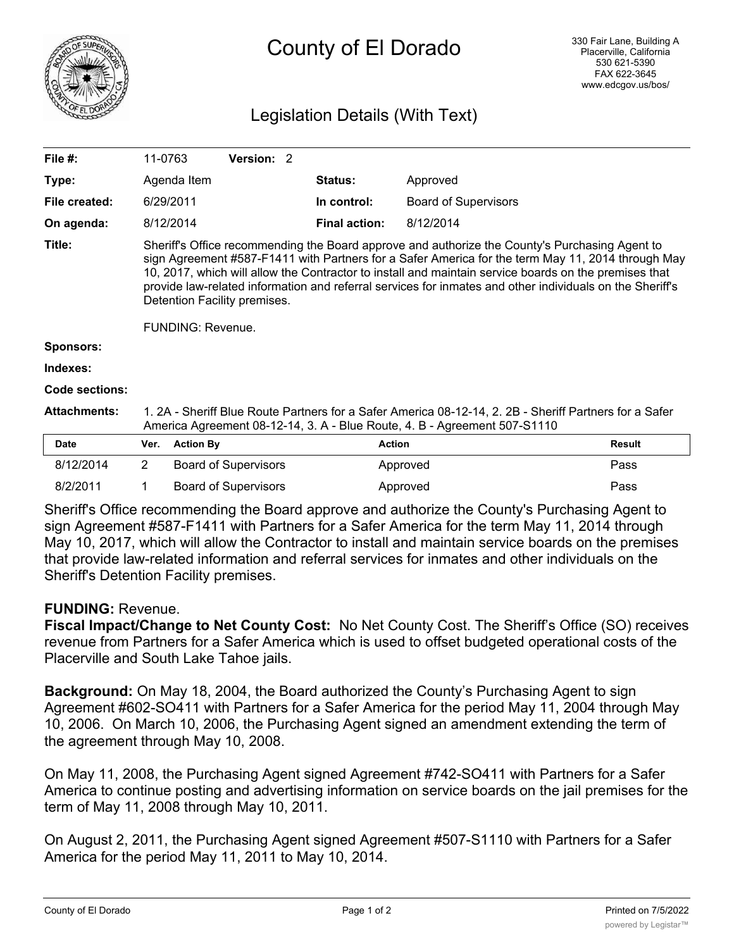

## County of El Dorado

## Legislation Details (With Text)

| File $#$ :            | 11-0763                                                                                                                                                                                                                                                                                                                                                                                                                                                                              |                  | <b>Version: 2</b>           |  |                      |                             |               |
|-----------------------|--------------------------------------------------------------------------------------------------------------------------------------------------------------------------------------------------------------------------------------------------------------------------------------------------------------------------------------------------------------------------------------------------------------------------------------------------------------------------------------|------------------|-----------------------------|--|----------------------|-----------------------------|---------------|
| Type:                 |                                                                                                                                                                                                                                                                                                                                                                                                                                                                                      | Agenda Item      |                             |  | <b>Status:</b>       | Approved                    |               |
| File created:         |                                                                                                                                                                                                                                                                                                                                                                                                                                                                                      | 6/29/2011        |                             |  | In control:          | <b>Board of Supervisors</b> |               |
| On agenda:            |                                                                                                                                                                                                                                                                                                                                                                                                                                                                                      | 8/12/2014        |                             |  | <b>Final action:</b> | 8/12/2014                   |               |
| Title:                | Sheriff's Office recommending the Board approve and authorize the County's Purchasing Agent to<br>sign Agreement #587-F1411 with Partners for a Safer America for the term May 11, 2014 through May<br>10, 2017, which will allow the Contractor to install and maintain service boards on the premises that<br>provide law-related information and referral services for inmates and other individuals on the Sheriff's<br>Detention Facility premises.<br><b>FUNDING: Revenue.</b> |                  |                             |  |                      |                             |               |
| <b>Sponsors:</b>      |                                                                                                                                                                                                                                                                                                                                                                                                                                                                                      |                  |                             |  |                      |                             |               |
| Indexes:              |                                                                                                                                                                                                                                                                                                                                                                                                                                                                                      |                  |                             |  |                      |                             |               |
| <b>Code sections:</b> |                                                                                                                                                                                                                                                                                                                                                                                                                                                                                      |                  |                             |  |                      |                             |               |
| <b>Attachments:</b>   | 1. 2A - Sheriff Blue Route Partners for a Safer America 08-12-14, 2. 2B - Sheriff Partners for a Safer<br>America Agreement 08-12-14, 3. A - Blue Route, 4. B - Agreement 507-S1110                                                                                                                                                                                                                                                                                                  |                  |                             |  |                      |                             |               |
| Date                  | Ver.                                                                                                                                                                                                                                                                                                                                                                                                                                                                                 | <b>Action By</b> |                             |  | <b>Action</b>        |                             | <b>Result</b> |
| 8/12/2014             | 2                                                                                                                                                                                                                                                                                                                                                                                                                                                                                    |                  | <b>Board of Supervisors</b> |  |                      | Approved                    | Pass          |
| 8/2/2011              | 1                                                                                                                                                                                                                                                                                                                                                                                                                                                                                    |                  | <b>Board of Supervisors</b> |  |                      | Approved                    | Pass          |

Sheriff's Office recommending the Board approve and authorize the County's Purchasing Agent to sign Agreement #587-F1411 with Partners for a Safer America for the term May 11, 2014 through May 10, 2017, which will allow the Contractor to install and maintain service boards on the premises that provide law-related information and referral services for inmates and other individuals on the Sheriff's Detention Facility premises.

## **FUNDING:** Revenue.

**Fiscal Impact/Change to Net County Cost:** No Net County Cost. The Sheriff's Office (SO) receives revenue from Partners for a Safer America which is used to offset budgeted operational costs of the Placerville and South Lake Tahoe jails.

**Background:** On May 18, 2004, the Board authorized the County's Purchasing Agent to sign Agreement #602-SO411 with Partners for a Safer America for the period May 11, 2004 through May 10, 2006. On March 10, 2006, the Purchasing Agent signed an amendment extending the term of the agreement through May 10, 2008.

On May 11, 2008, the Purchasing Agent signed Agreement #742-SO411 with Partners for a Safer America to continue posting and advertising information on service boards on the jail premises for the term of May 11, 2008 through May 10, 2011.

On August 2, 2011, the Purchasing Agent signed Agreement #507-S1110 with Partners for a Safer America for the period May 11, 2011 to May 10, 2014.